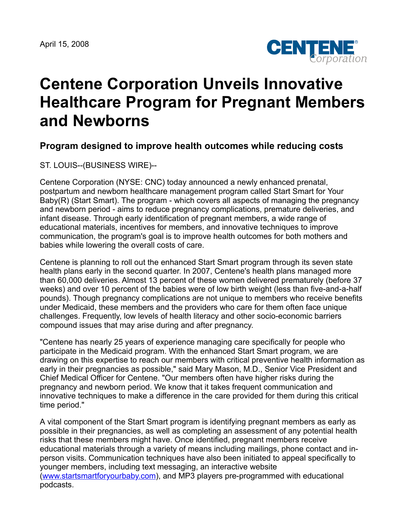

## **Centene Corporation Unveils Innovative Healthcare Program for Pregnant Members and Newborns**

## **Program designed to improve health outcomes while reducing costs**

ST. LOUIS--(BUSINESS WIRE)--

Centene Corporation (NYSE: CNC) today announced a newly enhanced prenatal, postpartum and newborn healthcare management program called Start Smart for Your Baby(R) (Start Smart). The program - which covers all aspects of managing the pregnancy and newborn period - aims to reduce pregnancy complications, premature deliveries, and infant disease. Through early identification of pregnant members, a wide range of educational materials, incentives for members, and innovative techniques to improve communication, the program's goal is to improve health outcomes for both mothers and babies while lowering the overall costs of care.

Centene is planning to roll out the enhanced Start Smart program through its seven state health plans early in the second quarter. In 2007, Centene's health plans managed more than 60,000 deliveries. Almost 13 percent of these women delivered prematurely (before 37 weeks) and over 10 percent of the babies were of low birth weight (less than five-and-a-half pounds). Though pregnancy complications are not unique to members who receive benefits under Medicaid, these members and the providers who care for them often face unique challenges. Frequently, low levels of health literacy and other socio-economic barriers compound issues that may arise during and after pregnancy.

"Centene has nearly 25 years of experience managing care specifically for people who participate in the Medicaid program. With the enhanced Start Smart program, we are drawing on this expertise to reach our members with critical preventive health information as early in their pregnancies as possible," said Mary Mason, M.D., Senior Vice President and Chief Medical Officer for Centene. "Our members often have higher risks during the pregnancy and newborn period. We know that it takes frequent communication and innovative techniques to make a difference in the care provided for them during this critical time period."

A vital component of the Start Smart program is identifying pregnant members as early as possible in their pregnancies, as well as completing an assessment of any potential health risks that these members might have. Once identified, pregnant members receive educational materials through a variety of means including mailings, phone contact and inperson visits. Communication techniques have also been initiated to appeal specifically to younger members, including text messaging, an interactive website ([www.startsmartforyourbaby.com\)](http://www.startsmartforyourbaby.com/), and MP3 players pre-programmed with educational podcasts.